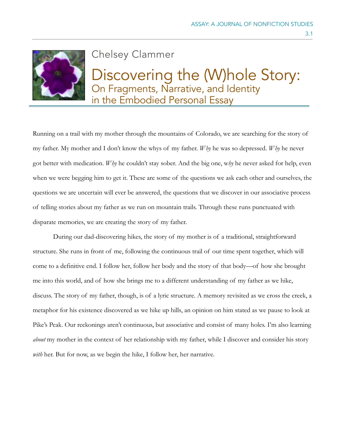

## Chelsey Clammer

Discovering the (W)hole Story: On Fragments, Narrative, and Identity in the Embodied Personal Essay

Running on a trail with my mother through the mountains of Colorado, we are searching for the story of my father. My mother and I don't know the whys of my father. *Why* he was so depressed. *Why* he never got better with medication. *Why* he couldn't stay sober. And the big one, w*hy* he never asked for help, even when we were begging him to get it. These are some of the questions we ask each other and ourselves, the questions we are uncertain will ever be answered, the questions that we discover in our associative process of telling stories about my father as we run on mountain trails. Through these runs punctuated with disparate memories, we are creating the story of my father.

 During our dad-discovering hikes, the story of my mother is of a traditional, straightforward structure. She runs in front of me, following the continuous trail of our time spent together, which will come to a definitive end. I follow her, follow her body and the story of that body—of how she brought me into this world, and of how she brings me to a different understanding of my father as we hike, discuss. The story of my father, though, is of a lyric structure. A memory revisited as we cross the creek, a metaphor for his existence discovered as we hike up hills, an opinion on him stated as we pause to look at Pike's Peak. Our reckonings aren't continuous, but associative and consist of many holes. I'm also learning *about* my mother in the context of her relationship with my father, while I discover and consider his story *with* her. But for now, as we begin the hike, I follow her, her narrative.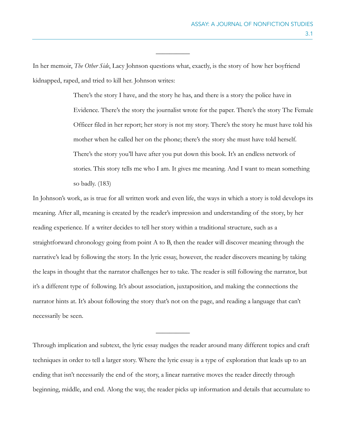In her memoir, *The Other Side*, Lacy Johnson questions what, exactly, is the story of how her boyfriend kidnapped, raped, and tried to kill her. Johnson writes:

 $\overline{\phantom{a}}$ 

There's the story I have, and the story he has, and there is a story the police have in Evidence. There's the story the journalist wrote for the paper. There's the story The Female Officer filed in her report; her story is not my story. There's the story he must have told his mother when he called her on the phone; there's the story she must have told herself. There's the story you'll have after you put down this book. It's an endless network of stories. This story tells me who I am. It gives me meaning. And I want to mean something so badly. (183)

In Johnson's work, as is true for all written work and even life, the ways in which a story is told develops its meaning. After all, meaning is created by the reader's impression and understanding of the story, by her reading experience. If a writer decides to tell her story within a traditional structure, such as a straightforward chronology going from point A to B, then the reader will discover meaning through the narrative's lead by following the story. In the lyric essay, however, the reader discovers meaning by taking the leaps in thought that the narrator challenges her to take. The reader is still following the narrator, but it's a different type of following. It's about association, juxtaposition, and making the connections the narrator hints at. It's about following the story that's not on the page, and reading a language that can't necessarily be seen.

Through implication and subtext, the lyric essay nudges the reader around many different topics and craft techniques in order to tell a larger story. Where the lyric essay is a type of exploration that leads up to an ending that isn't necessarily the end of the story, a linear narrative moves the reader directly through beginning, middle, and end. Along the way, the reader picks up information and details that accumulate to

 $\overline{\phantom{a}}$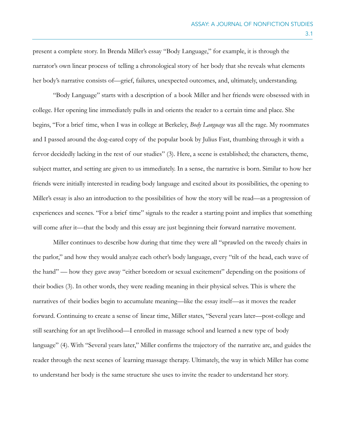present a complete story. In Brenda Miller's essay "Body Language," for example, it is through the narrator's own linear process of telling a chronological story of her body that she reveals what elements her body's narrative consists of—grief, failures, unexpected outcomes, and, ultimately, understanding.

"Body Language" starts with a description of a book Miller and her friends were obsessed with in college. Her opening line immediately pulls in and orients the reader to a certain time and place. She begins, "For a brief time, when I was in college at Berkeley, *Body Language* was all the rage. My roommates and I passed around the dog-eared copy of the popular book by Julius Fast, thumbing through it with a fervor decidedly lacking in the rest of our studies" (3). Here, a scene is established; the characters, theme, subject matter, and setting are given to us immediately. In a sense, the narrative is born. Similar to how her friends were initially interested in reading body language and excited about its possibilities, the opening to Miller's essay is also an introduction to the possibilities of how the story will be read—as a progression of experiences and scenes. "For a brief time" signals to the reader a starting point and implies that something will come after it—that the body and this essay are just beginning their forward narrative movement.

Miller continues to describe how during that time they were all "sprawled on the tweedy chairs in the parlor," and how they would analyze each other's body language, every "tilt of the head, each wave of the hand" — how they gave away "either boredom or sexual excitement" depending on the positions of their bodies (3). In other words, they were reading meaning in their physical selves. This is where the narratives of their bodies begin to accumulate meaning—like the essay itself—as it moves the reader forward. Continuing to create a sense of linear time, Miller states, "Several years later—post-college and still searching for an apt livelihood—I enrolled in massage school and learned a new type of body language" (4). With "Several years later," Miller confirms the trajectory of the narrative arc, and guides the reader through the next scenes of learning massage therapy. Ultimately, the way in which Miller has come to understand her body is the same structure she uses to invite the reader to understand her story.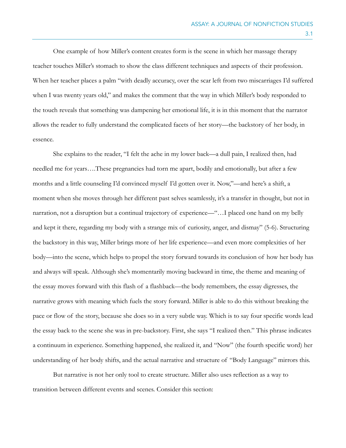One example of how Miller's content creates form is the scene in which her massage therapy teacher touches Miller's stomach to show the class different techniques and aspects of their profession. When her teacher places a palm "with deadly accuracy, over the scar left from two miscarriages I'd suffered when I was twenty years old," and makes the comment that the way in which Miller's body responded to the touch reveals that something was dampening her emotional life, it is in this moment that the narrator allows the reader to fully understand the complicated facets of her story—the backstory of her body, in essence.

She explains to the reader, "I felt the ache in my lower back—a dull pain, I realized then, had needled me for years….These pregnancies had torn me apart, bodily and emotionally, but after a few months and a little counseling I'd convinced myself I'd gotten over it. Now,"—and here's a shift, a moment when she moves through her different past selves seamlessly, it's a transfer in thought, but not in narration, not a disruption but a continual trajectory of experience—"…I placed one hand on my belly and kept it there, regarding my body with a strange mix of curiosity, anger, and dismay" (5-6). Structuring the backstory in this way, Miller brings more of her life experience—and even more complexities of her body—into the scene, which helps to propel the story forward towards its conclusion of how her body has and always will speak. Although she's momentarily moving backward in time, the theme and meaning of the essay moves forward with this flash of a flashback—the body remembers, the essay digresses, the narrative grows with meaning which fuels the story forward. Miller is able to do this without breaking the pace or flow of the story, because she does so in a very subtle way. Which is to say four specific words lead the essay back to the scene she was in pre-backstory. First, she says "I realized then." This phrase indicates a continuum in experience. Something happened, she realized it, and "Now" (the fourth specific word) her understanding of her body shifts, and the actual narrative and structure of "Body Language" mirrors this.

But narrative is not her only tool to create structure. Miller also uses reflection as a way to transition between different events and scenes. Consider this section: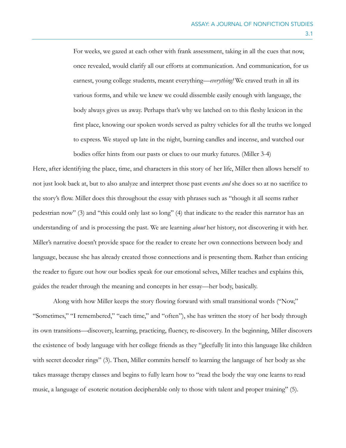For weeks, we gazed at each other with frank assessment, taking in all the cues that now, once revealed, would clarify all our efforts at communication. And communication, for us earnest, young college students, meant everything—*everything!* We craved truth in all its various forms, and while we knew we could dissemble easily enough with language, the body always gives us away. Perhaps that's why we latched on to this fleshy lexicon in the first place, knowing our spoken words served as paltry vehicles for all the truths we longed to express. We stayed up late in the night, burning candles and incense, and watched our bodies offer hints from our pasts or clues to our murky futures. (Miller 3-4)

Here, after identifying the place, time, and characters in this story of her life, Miller then allows herself to not just look back at, but to also analyze and interpret those past events *and* she does so at no sacrifice to the story's flow. Miller does this throughout the essay with phrases such as "though it all seems rather pedestrian now" (3) and "this could only last so long" (4) that indicate to the reader this narrator has an understanding of and is processing the past. We are learning *about* her history, not discovering it with her. Miller's narrative doesn't provide space for the reader to create her own connections between body and language, because she has already created those connections and is presenting them. Rather than enticing the reader to figure out how our bodies speak for our emotional selves, Miller teaches and explains this, guides the reader through the meaning and concepts in her essay—her body, basically.

Along with how Miller keeps the story flowing forward with small transitional words ("Now," "Sometimes," "I remembered," "each time," and "often"), she has written the story of her body through its own transitions—discovery, learning, practicing, fluency, re-discovery. In the beginning, Miller discovers the existence of body language with her college friends as they "gleefully lit into this language like children with secret decoder rings" (3). Then, Miller commits herself to learning the language of her body as she takes massage therapy classes and begins to fully learn how to "read the body the way one learns to read music, a language of esoteric notation decipherable only to those with talent and proper training" (5).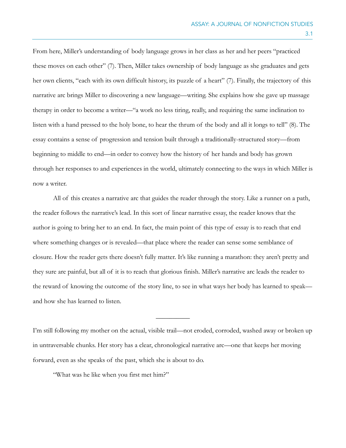From here, Miller's understanding of body language grows in her class as her and her peers "practiced these moves on each other" (7). Then, Miller takes ownership of body language as she graduates and gets her own clients, "each with its own difficult history, its puzzle of a heart" (7). Finally, the trajectory of this narrative arc brings Miller to discovering a new language—writing. She explains how she gave up massage therapy in order to become a writer—"a work no less tiring, really, and requiring the same inclination to listen with a hand pressed to the holy bone, to hear the thrum of the body and all it longs to tell" (8). The essay contains a sense of progression and tension built through a traditionally-structured story—from beginning to middle to end—in order to convey how the history of her hands and body has grown through her responses to and experiences in the world, ultimately connecting to the ways in which Miller is now a writer.

All of this creates a narrative arc that guides the reader through the story. Like a runner on a path, the reader follows the narrative's lead. In this sort of linear narrative essay, the reader knows that the author is going to bring her to an end. In fact, the main point of this type of essay is to reach that end where something changes or is revealed—that place where the reader can sense some semblance of closure. How the reader gets there doesn't fully matter. It's like running a marathon: they aren't pretty and they sure are painful, but all of it is to reach that glorious finish. Miller's narrative arc leads the reader to the reward of knowing the outcome of the story line, to see in what ways her body has learned to speak and how she has learned to listen.

I'm still following my mother on the actual, visible trail—not eroded, corroded, washed away or broken up in untraversable chunks. Her story has a clear, chronological narrative arc—one that keeps her moving forward, even as she speaks of the past, which she is about to do.

 $\overline{\phantom{a}}$ 

"What was he like when you first met him?"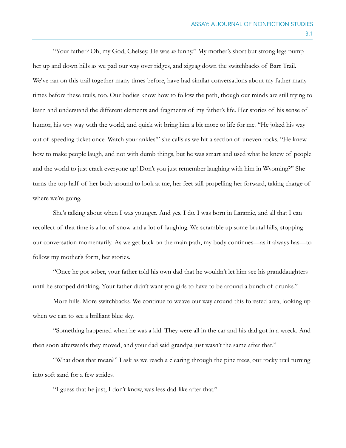"Your father? Oh, my God, Chelsey. He was *so* funny." My mother's short but strong legs pump her up and down hills as we pad our way over ridges, and zigzag down the switchbacks of Barr Trail. We've ran on this trail together many times before, have had similar conversations about my father many times before these trails, too. Our bodies know how to follow the path, though our minds are still trying to learn and understand the different elements and fragments of my father's life. Her stories of his sense of humor, his wry way with the world, and quick wit bring him a bit more to life for me. "He joked his way out of speeding ticket once. Watch your ankles!" she calls as we hit a section of uneven rocks. "He knew how to make people laugh, and not with dumb things, but he was smart and used what he knew of people and the world to just crack everyone up! Don't you just remember laughing with him in Wyoming?" She turns the top half of her body around to look at me, her feet still propelling her forward, taking charge of where we're going.

She's talking about when I was younger. And yes, I do. I was born in Laramie, and all that I can recollect of that time is a lot of snow and a lot of laughing. We scramble up some brutal hills, stopping our conversation momentarily. As we get back on the main path, my body continues—as it always has—to follow my mother's form, her stories.

"Once he got sober, your father told his own dad that he wouldn't let him see his granddaughters until he stopped drinking. Your father didn't want you girls to have to be around a bunch of drunks."

More hills. More switchbacks. We continue to weave our way around this forested area, looking up when we can to see a brilliant blue sky.

"Something happened when he was a kid. They were all in the car and his dad got in a wreck. And then soon afterwards they moved, and your dad said grandpa just wasn't the same after that."

"What does that mean?" I ask as we reach a clearing through the pine trees, our rocky trail turning into soft sand for a few strides.

"I guess that he just, I don't know, was less dad-like after that."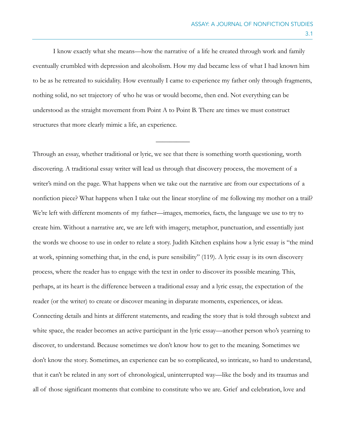I know exactly what she means—how the narrative of a life he created through work and family eventually crumbled with depression and alcoholism. How my dad became less of what I had known him to be as he retreated to suicidality. How eventually I came to experience my father only through fragments, nothing solid, no set trajectory of who he was or would become, then end. Not everything can be understood as the straight movement from Point A to Point B. There are times we must construct structures that more clearly mimic a life, an experience.

 $\overline{\phantom{a}}$ 

Through an essay, whether traditional or lyric, we see that there is something worth questioning, worth discovering. A traditional essay writer will lead us through that discovery process, the movement of a writer's mind on the page. What happens when we take out the narrative arc from our expectations of a nonfiction piece? What happens when I take out the linear storyline of me following my mother on a trail? We're left with different moments of my father—images, memories, facts, the language we use to try to create him. Without a narrative arc, we are left with imagery, metaphor, punctuation, and essentially just the words we choose to use in order to relate a story. Judith Kitchen explains how a lyric essay is "the mind at work, spinning something that, in the end, is pure sensibility" (119). A lyric essay is its own discovery process, where the reader has to engage with the text in order to discover its possible meaning. This, perhaps, at its heart is the difference between a traditional essay and a lyric essay, the expectation of the reader (or the writer) to create or discover meaning in disparate moments, experiences, or ideas. Connecting details and hints at different statements, and reading the story that is told through subtext and white space, the reader becomes an active participant in the lyric essay—another person who's yearning to discover, to understand. Because sometimes we don't know how to get to the meaning. Sometimes we don't know the story. Sometimes, an experience can be so complicated, so intricate, so hard to understand, that it can't be related in any sort of chronological, uninterrupted way—like the body and its traumas and all of those significant moments that combine to constitute who we are. Grief and celebration, love and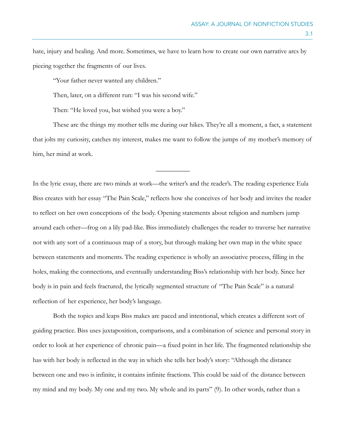hate, injury and healing. And more. Sometimes, we have to learn how to create our own narrative arcs by piecing together the fragments of our lives.

"Your father never wanted any children."

Then, later, on a different run: "I was his second wife."

Then: "He loved you, but wished you were a boy."

 These are the things my mother tells me during our hikes. They're all a moment, a fact, a statement that jolts my curiosity, catches my interest, makes me want to follow the jumps of my mother's memory of him, her mind at work.

 $\overline{\phantom{a}}$ 

In the lyric essay, there are two minds at work—the writer's and the reader's. The reading experience Eula Biss creates with her essay "The Pain Scale," reflects how she conceives of her body and invites the reader to reflect on her own conceptions of the body. Opening statements about religion and numbers jump around each other—frog on a lily pad-like. Biss immediately challenges the reader to traverse her narrative not with any sort of a continuous map of a story, but through making her own map in the white space between statements and moments. The reading experience is wholly an associative process, filling in the holes, making the connections, and eventually understanding Biss's relationship with her body. Since her body is in pain and feels fractured, the lyrically segmented structure of "The Pain Scale" is a natural reflection of her experience, her body's language.

Both the topics and leaps Biss makes are paced and intentional, which creates a different sort of guiding practice. Biss uses juxtaposition, comparisons, and a combination of science and personal story in order to look at her experience of chronic pain—a fixed point in her life. The fragmented relationship she has with her body is reflected in the way in which she tells her body's story: "Although the distance between one and two is infinite, it contains infinite fractions. This could be said of the distance between my mind and my body. My one and my two. My whole and its parts" (9). In other words, rather than a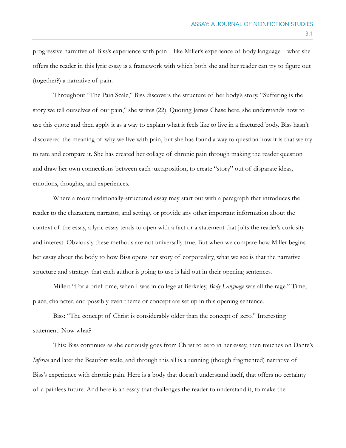progressive narrative of Biss's experience with pain—like Miller's experience of body language—what she offers the reader in this lyric essay is a framework with which both she and her reader can try to figure out (together?) a narrative of pain.

Throughout "The Pain Scale," Biss discovers the structure of her body's story. "Suffering is the story we tell ourselves of our pain," she writes (22). Quoting James Chase here, she understands how to use this quote and then apply it as a way to explain what it feels like to live in a fractured body. Biss hasn't discovered the meaning of why we live with pain, but she has found a way to question how it is that we try to rate and compare it. She has created her collage of chronic pain through making the reader question and draw her own connections between each juxtaposition, to create "story" out of disparate ideas, emotions, thoughts, and experiences.

 Where a more traditionally-structured essay may start out with a paragraph that introduces the reader to the characters, narrator, and setting, or provide any other important information about the context of the essay, a lyric essay tends to open with a fact or a statement that jolts the reader's curiosity and interest. Obviously these methods are not universally true. But when we compare how Miller begins her essay about the body to how Biss opens her story of corporeality, what we see is that the narrative structure and strategy that each author is going to use is laid out in their opening sentences.

 Miller: "For a brief time, when I was in college at Berkeley, *Body Language* was all the rage." Time, place, character, and possibly even theme or concept are set up in this opening sentence.

 Biss: "The concept of Christ is considerably older than the concept of zero." Interesting statement. Now what?

 This: Biss continues as she curiously goes from Christ to zero in her essay, then touches on Dante's *Inferno* and later the Beaufort scale, and through this all is a running (though fragmented) narrative of Biss's experience with chronic pain. Here is a body that doesn't understand itself, that offers no certainty of a painless future. And here is an essay that challenges the reader to understand it, to make the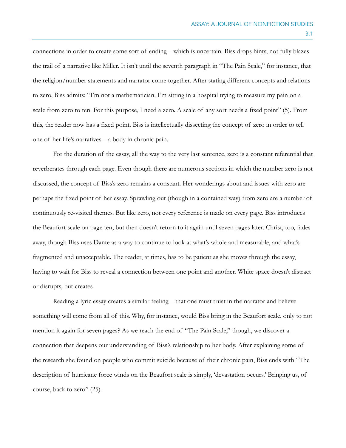connections in order to create some sort of ending—which is uncertain. Biss drops hints, not fully blazes the trail of a narrative like Miller. It isn't until the seventh paragraph in "The Pain Scale," for instance, that the religion/number statements and narrator come together. After stating different concepts and relations to zero, Biss admits: "I'm not a mathematician. I'm sitting in a hospital trying to measure my pain on a scale from zero to ten. For this purpose, I need a zero. A scale of any sort needs a fixed point" (5). From this, the reader now has a fixed point. Biss is intellectually dissecting the concept of zero in order to tell one of her life's narratives—a body in chronic pain.

 For the duration of the essay, all the way to the very last sentence, zero is a constant referential that reverberates through each page. Even though there are numerous sections in which the number zero is not discussed, the concept of Biss's zero remains a constant. Her wonderings about and issues with zero are perhaps the fixed point of her essay. Sprawling out (though in a contained way) from zero are a number of continuously re-visited themes. But like zero, not every reference is made on every page. Biss introduces the Beaufort scale on page ten, but then doesn't return to it again until seven pages later. Christ, too, fades away, though Biss uses Dante as a way to continue to look at what's whole and measurable, and what's fragmented and unacceptable. The reader, at times, has to be patient as she moves through the essay, having to wait for Biss to reveal a connection between one point and another. White space doesn't distract or disrupts, but creates.

Reading a lyric essay creates a similar feeling—that one must trust in the narrator and believe something will come from all of this. Why, for instance, would Biss bring in the Beaufort scale, only to not mention it again for seven pages? As we reach the end of "The Pain Scale," though, we discover a connection that deepens our understanding of Biss's relationship to her body. After explaining some of the research she found on people who commit suicide because of their chronic pain, Biss ends with "The description of hurricane force winds on the Beaufort scale is simply, 'devastation occurs.' Bringing us, of course, back to zero" (25).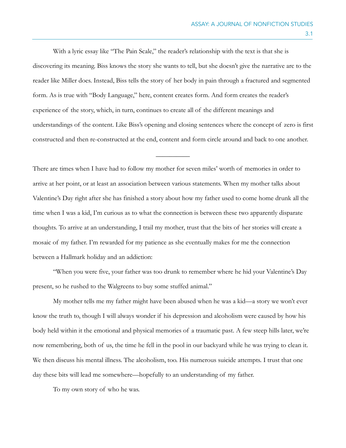With a lyric essay like "The Pain Scale," the reader's relationship with the text is that she is discovering its meaning. Biss knows the story she wants to tell, but she doesn't give the narrative arc to the reader like Miller does. Instead, Biss tells the story of her body in pain through a fractured and segmented form. As is true with "Body Language," here, content creates form. And form creates the reader's experience of the story, which, in turn, continues to create all of the different meanings and understandings of the content. Like Biss's opening and closing sentences where the concept of zero is first constructed and then re-constructed at the end, content and form circle around and back to one another.

 $\overline{\phantom{a}}$ 

There are times when I have had to follow my mother for seven miles' worth of memories in order to arrive at her point, or at least an association between various statements. When my mother talks about Valentine's Day right after she has finished a story about how my father used to come home drunk all the time when I was a kid, I'm curious as to what the connection is between these two apparently disparate thoughts. To arrive at an understanding, I trail my mother, trust that the bits of her stories will create a mosaic of my father. I'm rewarded for my patience as she eventually makes for me the connection between a Hallmark holiday and an addiction:

"When you were five, your father was too drunk to remember where he hid your Valentine's Day present, so he rushed to the Walgreens to buy some stuffed animal."

My mother tells me my father might have been abused when he was a kid—a story we won't ever know the truth to, though I will always wonder if his depression and alcoholism were caused by how his body held within it the emotional and physical memories of a traumatic past. A few steep hills later, we're now remembering, both of us, the time he fell in the pool in our backyard while he was trying to clean it. We then discuss his mental illness. The alcoholism, too. His numerous suicide attempts. I trust that one day these bits will lead me somewhere—hopefully to an understanding of my father.

To my own story of who he was.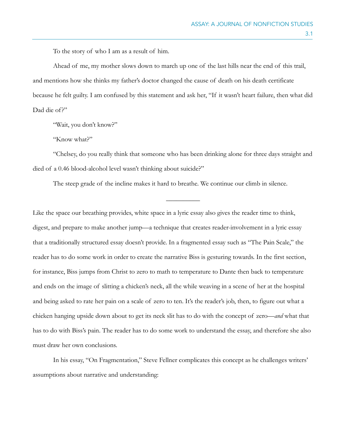To the story of who I am as a result of him.

Ahead of me, my mother slows down to march up one of the last hills near the end of this trail, and mentions how she thinks my father's doctor changed the cause of death on his death certificate because he felt guilty. I am confused by this statement and ask her, "If it wasn't heart failure, then what did Dad die of?"

"Wait, you don't know?"

"Know what?"

"Chelsey, do you really think that someone who has been drinking alone for three days straight and died of a 0.46 blood-alcohol level wasn't thinking about suicide?"

The steep grade of the incline makes it hard to breathe. We continue our climb in silence.

 $\overline{\phantom{a}}$ 

Like the space our breathing provides, white space in a lyric essay also gives the reader time to think, digest, and prepare to make another jump—a technique that creates reader-involvement in a lyric essay that a traditionally structured essay doesn't provide. In a fragmented essay such as "The Pain Scale," the reader has to do some work in order to create the narrative Biss is gesturing towards. In the first section, for instance, Biss jumps from Christ to zero to math to temperature to Dante then back to temperature and ends on the image of slitting a chicken's neck, all the while weaving in a scene of her at the hospital and being asked to rate her pain on a scale of zero to ten. It's the reader's job, then, to figure out what a chicken hanging upside down about to get its neck slit has to do with the concept of zero—*and* what that has to do with Biss's pain. The reader has to do some work to understand the essay, and therefore she also must draw her own conclusions.

 In his essay, "On Fragmentation," Steve Fellner complicates this concept as he challenges writers' assumptions about narrative and understanding: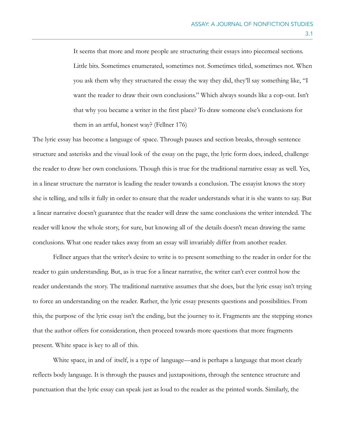It seems that more and more people are structuring their essays into piecemeal sections. Little bits. Sometimes enumerated, sometimes not. Sometimes titled, sometimes not. When you ask them why they structured the essay the way they did, they'll say something like, "I want the reader to draw their own conclusions." Which always sounds like a cop-out. Isn't that why you became a writer in the first place? To draw someone else's conclusions for them in an artful, honest way? (Fellner 176)

The lyric essay has become a language of space. Through pauses and section breaks, through sentence structure and asterisks and the visual look of the essay on the page, the lyric form does, indeed, challenge the reader to draw her own conclusions. Though this is true for the traditional narrative essay as well. Yes, in a linear structure the narrator is leading the reader towards a conclusion. The essayist knows the story she is telling, and tells it fully in order to ensure that the reader understands what it is she wants to say. But a linear narrative doesn't guarantee that the reader will draw the same conclusions the writer intended. The reader will know the whole story, for sure, but knowing all of the details doesn't mean drawing the same conclusions. What one reader takes away from an essay will invariably differ from another reader.

 Fellner argues that the writer's desire to write is to present something to the reader in order for the reader to gain understanding. But, as is true for a linear narrative, the writer can't ever control how the reader understands the story. The traditional narrative assumes that she does, but the lyric essay isn't trying to force an understanding on the reader. Rather, the lyric essay presents questions and possibilities. From this, the purpose of the lyric essay isn't the ending, but the journey to it. Fragments are the stepping stones that the author offers for consideration, then proceed towards more questions that more fragments present. White space is key to all of this.

 White space, in and of itself, is a type of language—and is perhaps a language that most clearly reflects body language. It is through the pauses and juxtapositions, through the sentence structure and punctuation that the lyric essay can speak just as loud to the reader as the printed words. Similarly, the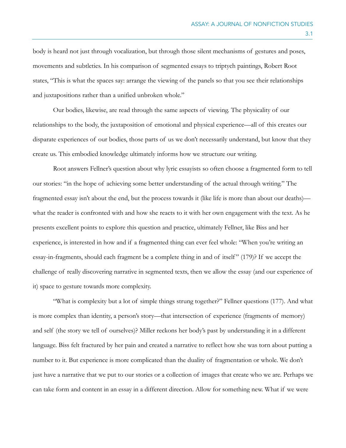body is heard not just through vocalization, but through those silent mechanisms of gestures and poses, movements and subtleties. In his comparison of segmented essays to triptych paintings, Robert Root states, "This is what the spaces say: arrange the viewing of the panels so that you see their relationships and juxtapositions rather than a unified unbroken whole."

 Our bodies, likewise, are read through the same aspects of viewing. The physicality of our relationships to the body, the juxtaposition of emotional and physical experience—all of this creates our disparate experiences of our bodies, those parts of us we don't necessarily understand, but know that they create us. This embodied knowledge ultimately informs how we structure our writing.

Root answers Fellner's question about why lyric essayists so often choose a fragmented form to tell our stories: "in the hope of achieving some better understanding of the actual through writing." The fragmented essay isn't about the end, but the process towards it (like life is more than about our deaths) what the reader is confronted with and how she reacts to it with her own engagement with the text. As he presents excellent points to explore this question and practice, ultimately Fellner, like Biss and her experience, is interested in how and if a fragmented thing can ever feel whole: "When you're writing an essay-in-fragments, should each fragment be a complete thing in and of itself " (179)? If we accept the challenge of really discovering narrative in segmented texts, then we allow the essay (and our experience of it) space to gesture towards more complexity.

"What is complexity but a lot of simple things strung together?" Fellner questions (177). And what is more complex than identity, a person's story—that intersection of experience (fragments of memory) and self (the story we tell of ourselves)? Miller reckons her body's past by understanding it in a different language. Biss felt fractured by her pain and created a narrative to reflect how she was torn about putting a number to it. But experience is more complicated than the duality of fragmentation or whole. We don't just have a narrative that we put to our stories or a collection of images that create who we are. Perhaps we can take form and content in an essay in a different direction. Allow for something new. What if we were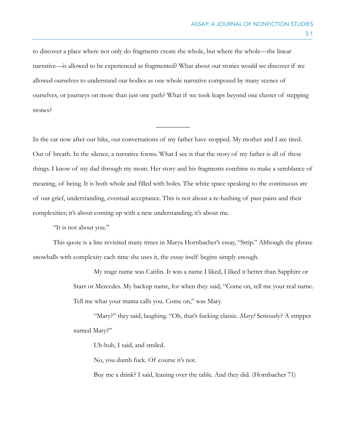to discover a place where not only do fragments create the whole, but where the whole—the linear narrative—is allowed to be experienced as fragmented? What about our stories would we discover if we allowed ourselves to understand our bodies as one whole narrative composed by many scenes of ourselves, or journeys on more than just one path? What if we took leaps beyond one cluster of stepping stones?

In the car now after our hike, our conversations of my father have stopped. My mother and I are tired. Out of breath. In the silence, a narrative forms. What I see is that the story of my father is all of these things. I know of my dad through my mom. Her story and his fragments combine to make a semblance of meaning, of being. It is both whole and filled with holes. The white space speaking to the continuous arc of our grief, understanding, eventual acceptance. This is not about a re-hashing of past pains and their complexities; it's about coming up with a new understanding; it's about me.

 $\overline{\phantom{a}}$ 

"It is not about you."

This quote is a line revisited many times in Marya Hornbacher's essay, "Strip." Although the phrase snowballs with complexity each time she uses it, the essay itself begins simply enough.

> My stage name was Caitlin. It was a name I liked, I liked it better than Sapphire or Starr or Mercedes. My backup name, for when they said, "Come on, tell me your real name. Tell me what your mama calls you. Come on," was Mary.

> "Mary?" they said, laughing. "Oh, that's fucking classic. *Mary?* Seriously? A stripper named Mary?"

Uh-huh, I said, and smiled.

No, you dumb fuck. Of course it's not.

Buy me a drink? I said, leaning over the table. And they did. (Hornbacher 71)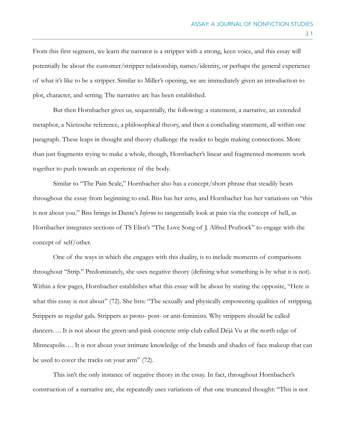From this first segment, we learn the narrator is a stripper with a strong, keen voice, and this essay will potentially be about the customer/stripper relationship, names/identity, or perhaps the general experience of what it's like to be a stripper. Similar to Miller's opening, we are immediately given an introduction to plot, character, and setting. The narrative arc has been established.

 But then Hornbacher gives us, sequentially, the following: a statement, a narrative, an extended metaphor, a Nietzsche reference, a philosophical theory, and then a concluding statement, all within one paragraph. These leaps in thought and theory challenge the reader to begin making connections. More than just fragments trying to make a whole, though, Hornbacher's linear and fragmented moments work together to push towards an experience of the body.

Similar to "The Pain Scale," Hornbacher also has a concept/short phrase that steadily beats throughout the essay from beginning to end. Biss has her zero, and Hornbacher has her variations on "this is not about you." Biss brings in Dante's *Inferno* to tangentially look at pain via the concept of hell, as Hornbacher integrates sections of TS Eliot's "The Love Song of J. Alfred Prufrock" to engage with the concept of self/other.

 One of the ways in which she engages with this duality, is to include moments of comparisons throughout "Strip." Predominately, she uses negative theory (defining what something is by what it is not). Within a few pages, Hornbacher establishes what this essay will be about by stating the opposite, "Here is what this essay is not about" (72). She lists: "The sexually and physically empowering qualities of stripping. Strippers as regular gals. Strippers as proto- post- or anti-feminists. Why strippers should be called dancers…. It is not about the green-and-pink concrete strip club called Déjà Vu at the north edge of Minneapolis…. It is not about your intimate knowledge of the brands and shades of face makeup that can be used to cover the tracks on your arm" (72).

 This isn't the only instance of negative theory in the essay. In fact, throughout Hornbacher's construction of a narrative arc, she repeatedly uses variations of that one truncated thought: "This is not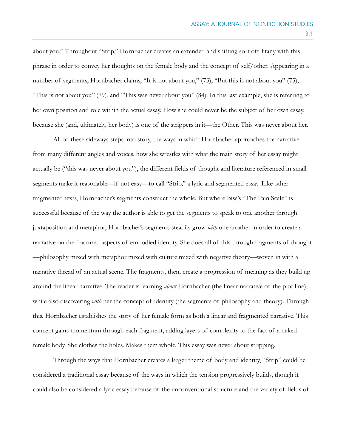about you." Throughout "Strip," Hornbacher creates an extended and shifting sort off litany with this phrase in order to convey her thoughts on the female body and the concept of self/other. Appearing in a number of segments, Hornbacher claims, "It is not about you," (73), "But this is not about you" (75), "This is not about you" (79), and "This was never about you" (84). In this last example, she is referring to her own position and role within the actual essay. How she could never be the subject of her own essay, because she (and, ultimately, her body) is one of the strippers in it—the Other. This was never about her.

All of these sideways steps into story, the ways in which Hornbacher approaches the narrative from many different angles and voices, how she wrestles with what the main story of her essay might actually be ("this was never about you"), the different fields of thought and literature referenced in small segments make it reasonable—if not easy—to call "Strip," a lyric and segmented essay. Like other fragmented texts, Hornbacher's segments construct the whole. But where Biss's "The Pain Scale" is successful because of the way the author is able to get the segments to speak to one another through juxtaposition and metaphor, Hornbacher's segments steadily grow *with* one another in order to create a narrative on the fractured aspects of embodied identity. She does all of this through fragments of thought —philosophy mixed with metaphor mixed with culture mixed with negative theory—woven in with a narrative thread of an actual scene. The fragments, then, create a progression of meaning as they build up around the linear narrative. The reader is learning *about* Hornbacher (the linear narrative of the plot line), while also discovering *with* her the concept of identity (the segments of philosophy and theory). Through this, Hornbacher establishes the story of her female form as both a linear and fragmented narrative. This concept gains momentum through each fragment, adding layers of complexity to the fact of a naked female body. She clothes the holes. Makes them whole. This essay was never about stripping.

 Through the ways that Hornbacher creates a larger theme of body and identity, "Strip" could be considered a traditional essay because of the ways in which the tension progressively builds, though it could also be considered a lyric essay because of the unconventional structure and the variety of fields of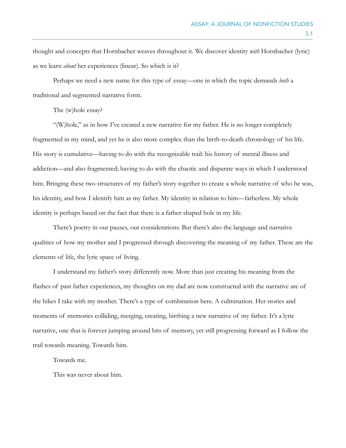thought and concepts that Hornbacher weaves throughout it. We discover identity *with* Hornbacher (lyric) as we learn *about* her experiences (linear). So which is it?

Perhaps we need a new name for this type of essay—one in which the topic demands *both* a traditional and segmented narrative form.

The (w)hole essay?

"(W)hole," as in how I've created a new narrative for my father. He is no longer completely fragmented in my mind, and yet he is also more complex than the birth-to-death chronology of his life. His story is cumulative—having to do with the recognizable trail: his history of mental illness and addiction—and also fragmented; having to do with the chaotic and disparate ways in which I understood him. Bringing these two structures of my father's story together to create a whole narrative of who he was, his identity, and how I identify him as my father. My identity in relation to him—fatherless. My whole identity is perhaps based on the fact that there is a father-shaped hole in my life.

There's poetry in our pauses, our considerations. But there's also the language and narrative qualities of how my mother and I progressed through discovering the meaning of my father. These are the elements of life, the lyric space of living.

 I understand my father's story differently now. More than just creating his meaning from the flashes of past father experiences, my thoughts on my dad are now constructed with the narrative arc of the hikes I take with my mother. There's a type of combination here. A culmination. Her stories and moments of memories colliding, merging, creating, birthing a new narrative of my father. It's a lyric narrative, one that is forever jumping around bits of memory, yet still progressing forward as I follow the trail towards meaning. Towards him.

Towards me.

This was never about him.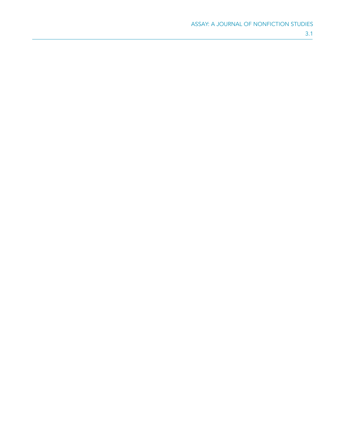3.1